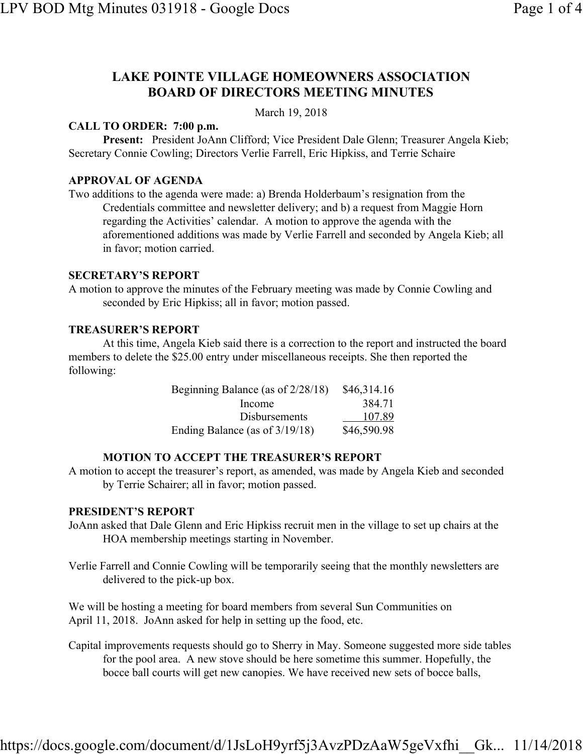# **LAKE POINTE VILLAGE HOMEOWNERS ASSOCIATION BOARD OF DIRECTORS MEETING MINUTES**

March 19, 2018

## **CALL TO ORDER: 7:00 p.m.**

**Present:** President JoAnn Clifford; Vice President Dale Glenn; Treasurer Angela Kieb; Secretary Connie Cowling; Directors Verlie Farrell, Eric Hipkiss, and Terrie Schaire

## **APPROVAL OF AGENDA**

Two additions to the agenda were made: a) Brenda Holderbaum's resignation from the Credentials committee and newsletter delivery; and b) a request from Maggie Horn regarding the Activities' calendar. A motion to approve the agenda with the aforementioned additions was made by Verlie Farrell and seconded by Angela Kieb; all in favor; motion carried.

#### **SECRETARY'S REPORT**

A motion to approve the minutes of the February meeting was made by Connie Cowling and seconded by Eric Hipkiss; all in favor; motion passed.

#### **TREASURER'S REPORT**

At this time, Angela Kieb said there is a correction to the report and instructed the board members to delete the \$25.00 entry under miscellaneous receipts. She then reported the following:

| Beginning Balance (as of $2/28/18$ ) | \$46,314.16 |
|--------------------------------------|-------------|
| Income                               | 384.71      |
| <b>Disbursements</b>                 | 107.89      |
| Ending Balance (as of 3/19/18)       | \$46,590.98 |

## **MOTION TO ACCEPT THE TREASURER'S REPORT**

A motion to accept the treasurer's report, as amended, was made by Angela Kieb and seconded by Terrie Schairer; all in favor; motion passed.

#### **PRESIDENT'S REPORT**

- JoAnn asked that Dale Glenn and Eric Hipkiss recruit men in the village to set up chairs at the HOA membership meetings starting in November.
- Verlie Farrell and Connie Cowling will be temporarily seeing that the monthly newsletters are delivered to the pick-up box.

We will be hosting a meeting for board members from several Sun Communities on April 11, 2018. JoAnn asked for help in setting up the food, etc.

Capital improvements requests should go to Sherry in May. Someone suggested more side tables for the pool area. A new stove should be here sometime this summer. Hopefully, the bocce ball courts will get new canopies. We have received new sets of bocce balls,